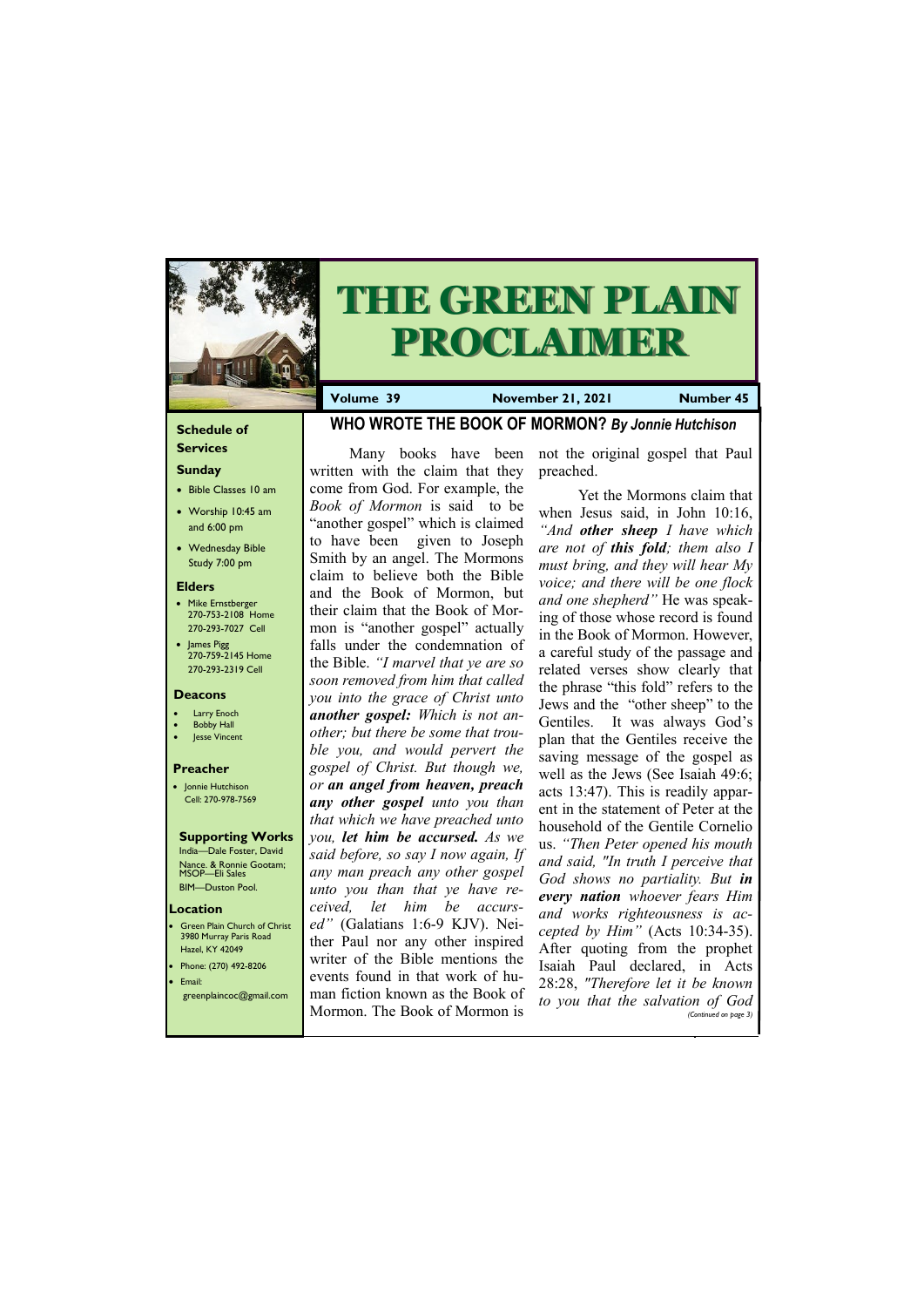## **Schedule of**

## **Services Sunday**

- Bible Classes 10 am
- Worship 10:45 am and 6:00 pm
- Wednesday Bible Study 7:00 pm

### **Elders**

Green Plain Church of Christ 3980 Murray Paris Road Hazel, KY 42049 • Phone: (270) 492-8206 • Email:

- Mike Ernstberger 270-753-2108 Home 270-293-7027 Cell
- James Pigg 270-759-2145 Home 270-293-2319 Cell



# **THE GREEN PLAIN PROCLAIMER**

#### **Location**

**Volume 39 November 21, 2021 Number 45**

### **Deacons**

- **Larry Enoch**
- **Bobby Hall**
- Jesse Vincent

### **Preacher**

• Jonnie Hutchison Cell: 270-978-7569

## **Supporting Works**

India—Dale Foster, David Nance. & Ronnie Gootam; MSOP—Eli Sales BIM—Duston Pool.

## **WHO WROTE THE BOOK OF MORMON?** *By Jonnie Hutchison*

Many books have been written with the claim that they come from God. For example, the *Book of Mormon* is said to be "another gospel" which is claimed to have been given to Joseph Smith by an angel. The Mormons claim to believe both the Bible and the Book of Mormon, but their claim that the Book of Mormon is "another gospel" actually falls under the condemnation of the Bible. *"I marvel that ye are so soon removed from him that called you into the grace of Christ unto another gospel: Which is not another; but there be some that trouble you, and would pervert the gospel of Christ. But though we, or an angel from heaven, preach any other gospel unto you than that which we have preached unto you, let him be accursed. As we said before, so say I now again, If any man preach any other gospel unto you than that ye have received, let him be accursed"* (Galatians 1:6-9 KJV). Neither Paul nor any other inspired writer of the Bible mentions the events found in that work of hu-

| $\epsilon$ reenplaincoc@gmail.com   man fiction known as the Book of to you that the salvation of God<br>Mormon. The Book of Mormon is |  | (Continued on page 3) |
|----------------------------------------------------------------------------------------------------------------------------------------|--|-----------------------|
|                                                                                                                                        |  |                       |

not the original gospel that Paul preached.

Yet the Mormons claim that when Jesus said, in John 10:16, *"And other sheep I have which are not of this fold; them also I must bring, and they will hear My voice; and there will be one flock and one shepherd"* He was speaking of those whose record is found in the Book of Mormon. However, a careful study of the passage and related verses show clearly that the phrase "this fold" refers to the Jews and the "other sheep" to the Gentiles. It was always God's plan that the Gentiles receive the saving message of the gospel as well as the Jews (See Isaiah 49:6; acts 13:47). This is readily apparent in the statement of Peter at the household of the Gentile Cornelio us. *"Then Peter opened his mouth and said, "In truth I perceive that God shows no partiality. But in every nation whoever fears Him and works righteousness is accepted by Him"* (Acts 10:34-35). After quoting from the prophet Isaiah Paul declared, in Acts 28:28, *"Therefore let it be known*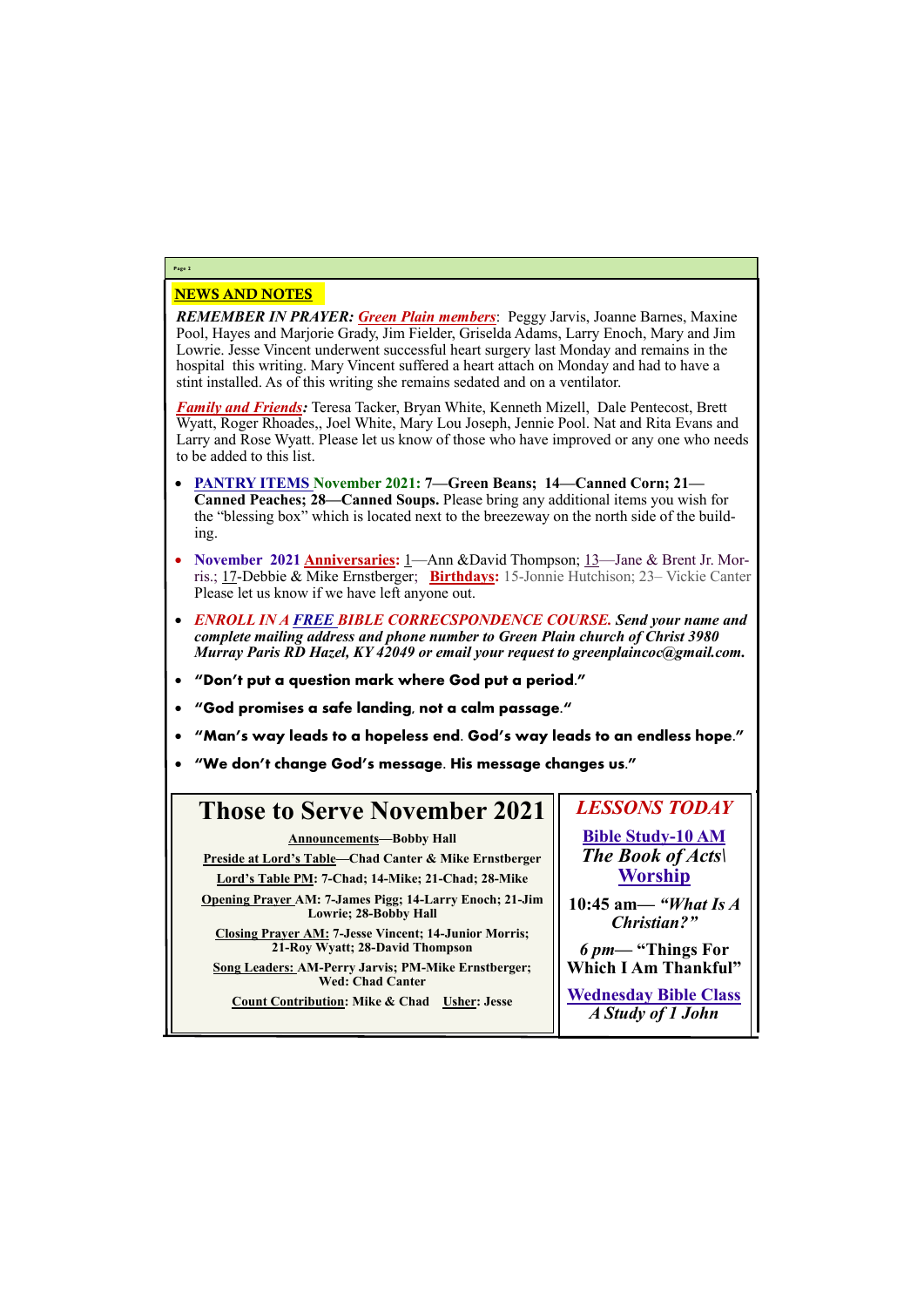## NEWS AND NOTES

*REMEMBER IN PRAYER: Green Plain members*: Peggy Jarvis, Joanne Barnes, Maxine Pool, Hayes and Marjorie Grady, Jim Fielder, Griselda Adams, Larry Enoch, Mary and Jim Lowrie. Jesse Vincent underwent successful heart surgery last Monday and remains in the hospital this writing. Mary Vincent suffered a heart attach on Monday and had to have a stint installed. As of this writing she remains sedated and on a ventilator.

*Family and Friends:* Teresa Tacker, Bryan White, Kenneth Mizell, Dale Pentecost, Brett Wyatt, Roger Rhoades,, Joel White, Mary Lou Joseph, Jennie Pool. Nat and Rita Evans and Larry and Rose Wyatt. Please let us know of those who have improved or any one who needs to be added to this list.

- **PANTRY ITEMS November 2021: 7—Green Beans; 14—Canned Corn; 21— Canned Peaches; 28—Canned Soups.** Please bring any additional items you wish for the "blessing box" which is located next to the breezeway on the north side of the building.
- **November 2021 Anniversaries:** 1—Ann &David Thompson; 13—Jane & Brent Jr. Morris.; 17-Debbie & Mike Ernstberger; **Birthdays:** 15-Jonnie Hutchison; 23– Vickie Canter Please let us know if we have left anyone out.
- *ENROLL IN A FREE BIBLE CORRECSPONDENCE COURSE. Send your name and complete mailing address and phone number to Green Plain church of Christ 3980 Murray Paris RD Hazel, KY 42049 or email your request to greenplaincoc@gmail.com.*
- **"Don't put a question mark where God put a period."**
- **"God promises a safe landing, not a calm passage."**
- **"Man's way leads to a hopeless end. God's way leads to an endless hope."**
- **"We don't change God's message. His message changes us."**

# **Page 2**

#### **Those to Serve November 2021 Announcements—Bobby Hall Preside at Lord's Table—Chad Canter & Mike Ernstberger Lord's Table PM: 7-Chad; 14-Mike; 21-Chad; 28-Mike Opening Prayer AM: 7-James Pigg; 14-Larry Enoch; 21-Jim Lowrie; 28-Bobby Hall Closing Prayer AM: 7-Jesse Vincent; 14-Junior Morris; 21-Roy Wyatt; 28-David Thompson** *LESSONS TODAY* **Bible Study-10 AM** *The Book of Acts\* **Worship 10:45 am***— "What Is A Christian?" 6 pm***— "Things For Which I Am Thankful"**

**Song Leaders: AM-Perry Jarvis; PM-Mike Ernstberger; Wed: Chad Canter**

**Count Contribution: Mike & Chad Usher: Jesse**

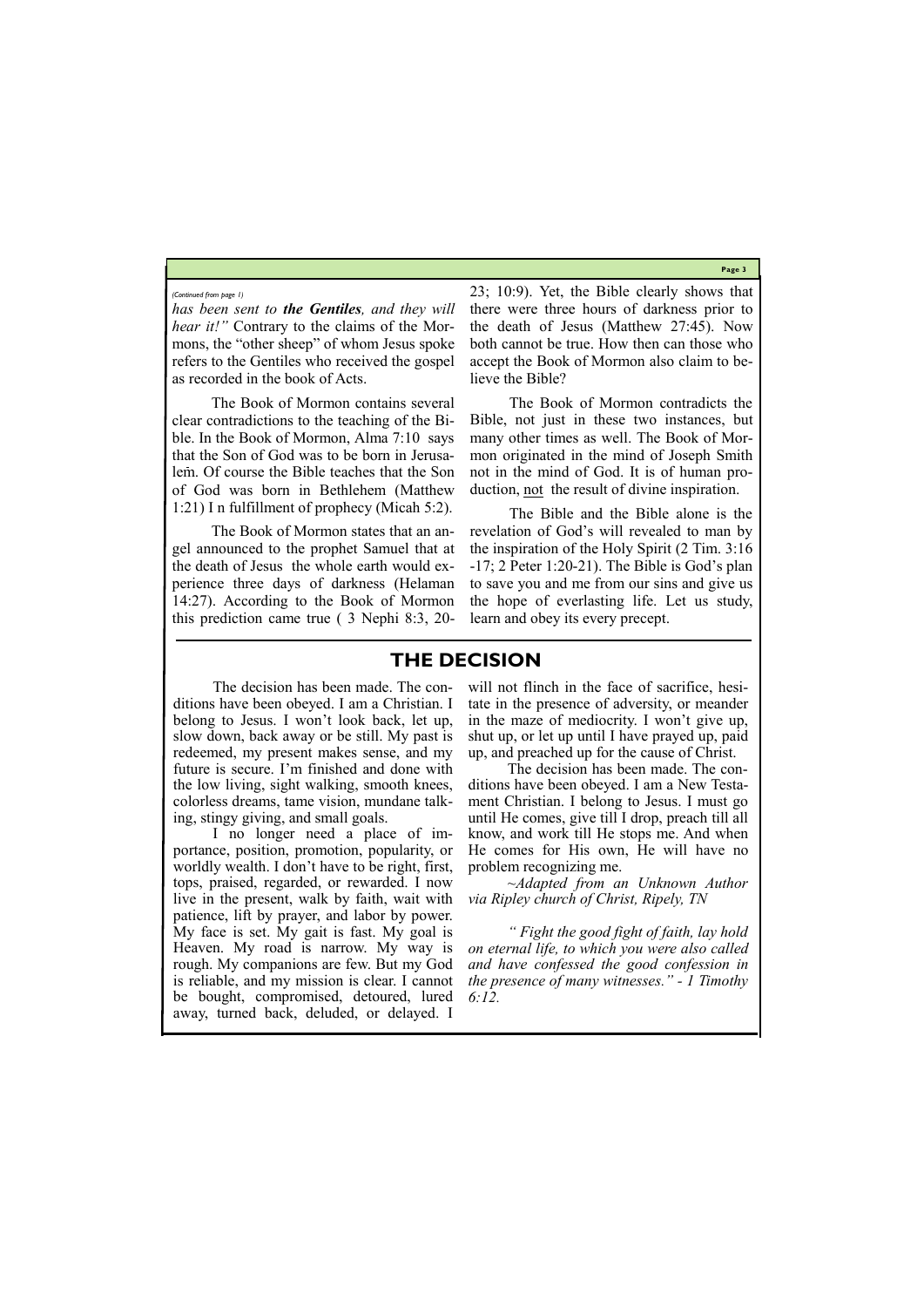**Page 3**

*has been sent to the Gentiles, and they will hear it!"* Contrary to the claims of the Mormons, the "other sheep" of whom Jesus spoke refers to the Gentiles who received the gospel as recorded in the book of Acts.

The Book of Mormon contains several clear contradictions to the teaching of the Bible. In the Book of Mormon, Alma 7:10 says that the Son of God was to be born in Jerusalem. Of course the Bible teaches that the Son of God was born in Bethlehem (Matthew 1:21) I n fulfillment of prophecy (Micah 5:2).

The Book of Mormon states that an angel announced to the prophet Samuel that at the death of Jesus the whole earth would experience three days of darkness (Helaman 14:27). According to the Book of Mormon this prediction came true ( 3 Nephi 8:3, 2023; 10:9). Yet, the Bible clearly shows that there were three hours of darkness prior to the death of Jesus (Matthew 27:45). Now both cannot be true. How then can those who accept the Book of Mormon also claim to believe the Bible?

The Book of Mormon contradicts the Bible, not just in these two instances, but many other times as well. The Book of Mormon originated in the mind of Joseph Smith not in the mind of God. It is of human production, not the result of divine inspiration.

The Bible and the Bible alone is the revelation of God's will revealed to man by the inspiration of the Holy Spirit (2 Tim. 3:16 -17; 2 Peter 1:20-21). The Bible is God's plan to save you and me from our sins and give us the hope of everlasting life. Let us study, learn and obey its every precept.

#### *(Continued from page 1)*

## **THE DECISION**

The decision has been made. The conditions have been obeyed. I am a Christian. I belong to Jesus. I won't look back, let up, slow down, back away or be still. My past is redeemed, my present makes sense, and my future is secure. I'm finished and done with the low living, sight walking, smooth knees, colorless dreams, tame vision, mundane talking, stingy giving, and small goals.

I no longer need a place of importance, position, promotion, popularity, or worldly wealth. I don't have to be right, first, tops, praised, regarded, or rewarded. I now live in the present, walk by faith, wait with patience, lift by prayer, and labor by power. will not flinch in the face of sacrifice, hesitate in the presence of adversity, or meander in the maze of mediocrity. I won't give up, shut up, or let up until I have prayed up, paid up, and preached up for the cause of Christ.

My face is set. My gait is fast. My goal is Heaven. My road is narrow. My way is rough. My companions are few. But my God is reliable, and my mission is clear. I cannot be bought, compromised, detoured, lured away, turned back, deluded, or delayed. I *" Fight the good fight of faith, lay hold on eternal life, to which you were also called and have confessed the good confession in the presence of many witnesses." - 1 Timothy 6:12.*

The decision has been made. The conditions have been obeyed. I am a New Testament Christian. I belong to Jesus. I must go until He comes, give till I drop, preach till all know, and work till He stops me. And when He comes for His own, He will have no problem recognizing me.

*~Adapted from an Unknown Author via Ripley church of Christ, Ripely, TN*